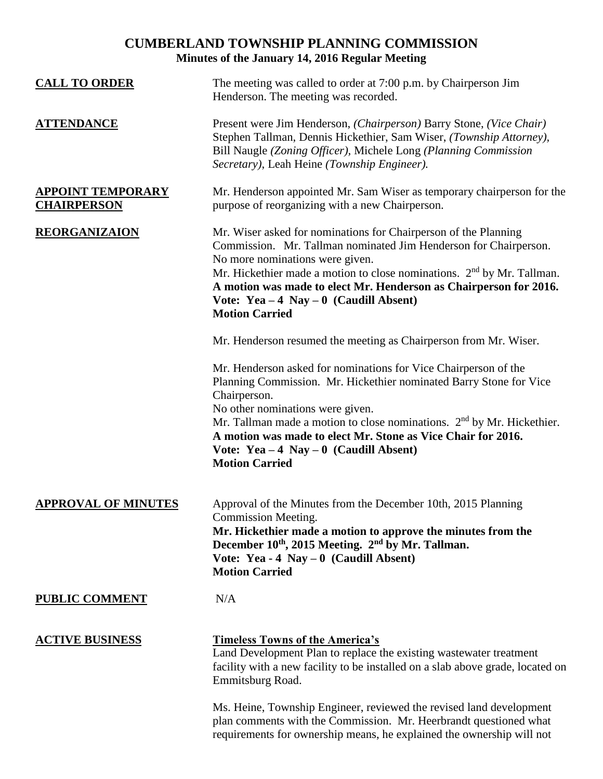## **CUMBERLAND TOWNSHIP PLANNING COMMISSION Minutes of the January 14, 2016 Regular Meeting**

| <b>CALL TO ORDER</b>                           | The meeting was called to order at 7:00 p.m. by Chairperson Jim<br>Henderson. The meeting was recorded.                                                                                                                                                                                                                                                                                                                                                          |
|------------------------------------------------|------------------------------------------------------------------------------------------------------------------------------------------------------------------------------------------------------------------------------------------------------------------------------------------------------------------------------------------------------------------------------------------------------------------------------------------------------------------|
| <u>ATTENDANCE</u>                              | Present were Jim Henderson, (Chairperson) Barry Stone, (Vice Chair)<br>Stephen Tallman, Dennis Hickethier, Sam Wiser, (Township Attorney),<br>Bill Naugle (Zoning Officer), Michele Long (Planning Commission<br>Secretary), Leah Heine (Township Engineer).                                                                                                                                                                                                     |
| <b>APPOINT TEMPORARY</b><br><b>CHAIRPERSON</b> | Mr. Henderson appointed Mr. Sam Wiser as temporary chairperson for the<br>purpose of reorganizing with a new Chairperson.                                                                                                                                                                                                                                                                                                                                        |
| <b>REORGANIZAION</b>                           | Mr. Wiser asked for nominations for Chairperson of the Planning<br>Commission. Mr. Tallman nominated Jim Henderson for Chairperson.<br>No more nominations were given.<br>Mr. Hickethier made a motion to close nominations. $2nd$ by Mr. Tallman.<br>A motion was made to elect Mr. Henderson as Chairperson for 2016.<br>Vote: Yea $-4$ Nay $-0$ (Caudill Absent)<br><b>Motion Carried</b><br>Mr. Henderson resumed the meeting as Chairperson from Mr. Wiser. |
|                                                | Mr. Henderson asked for nominations for Vice Chairperson of the<br>Planning Commission. Mr. Hickethier nominated Barry Stone for Vice<br>Chairperson.<br>No other nominations were given.<br>Mr. Tallman made a motion to close nominations. 2 <sup>nd</sup> by Mr. Hickethier.<br>A motion was made to elect Mr. Stone as Vice Chair for 2016.<br>Vote: Yea $-4$ Nay $-0$ (Caudill Absent)<br><b>Motion Carried</b>                                             |
| <b>APPROVAL OF MINUTES</b>                     | Approval of the Minutes from the December 10th, 2015 Planning<br>Commission Meeting.<br>Mr. Hickethier made a motion to approve the minutes from the<br>December 10th, 2015 Meeting. 2 <sup>nd</sup> by Mr. Tallman.<br>Vote: Yea - 4 Nay $-0$ (Caudill Absent)<br><b>Motion Carried</b>                                                                                                                                                                         |
| <b>PUBLIC COMMENT</b>                          | N/A                                                                                                                                                                                                                                                                                                                                                                                                                                                              |
| <b>ACTIVE BUSINESS</b>                         | <b>Timeless Towns of the America's</b><br>Land Development Plan to replace the existing wastewater treatment<br>facility with a new facility to be installed on a slab above grade, located on<br>Emmitsburg Road.                                                                                                                                                                                                                                               |
|                                                | Ms. Heine, Township Engineer, reviewed the revised land development<br>plan comments with the Commission. Mr. Heerbrandt questioned what<br>requirements for ownership means, he explained the ownership will not                                                                                                                                                                                                                                                |